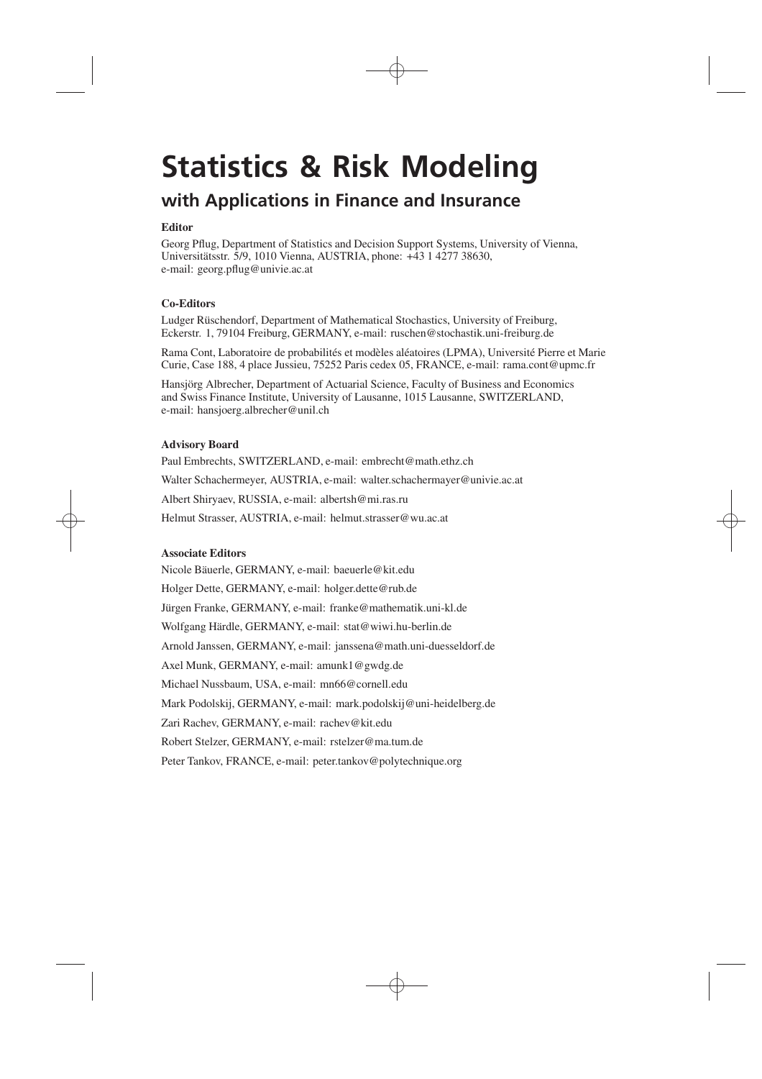# **Statistics & Risk Modeling**

# **with Applications in Finance and Insurance**

### **Editor**

Georg Pflug, Department of Statistics and Decision Support Systems, University of Vienna, Universitätsstr. 5/9, 1010 Vienna, AUSTRIA, phone: +43 1 4277 38630, e-mail: georg.pflug@univie.ac.at

## **Co-Editors**

Ludger Rüschendorf, Department of Mathematical Stochastics, University of Freiburg, Eckerstr. 1, 79104 Freiburg, GERMANY, e-mail: ruschen@stochastik.uni-freiburg.de

Rama Cont, Laboratoire de probabilités et modèles aléatoires (LPMA), Université Pierre et Marie Curie, Case 188, 4 place Jussieu, 75252 Paris cedex 05, FRANCE, e-mail: rama.cont@upmc.fr

Hansjörg Albrecher, Department of Actuarial Science, Faculty of Business and Economics and Swiss Finance Institute, University of Lausanne, 1015 Lausanne, SWITZERLAND, e-mail: hansjoerg.albrecher@unil.ch

### **Advisory Board**

Helmut Strasser, AUSTRIA, e-mail: helmut.strasser@wu.ac.at Paul Embrechts, SWITZERLAND, e-mail: embrecht@math.ethz.ch Walter Schachermeyer, AUSTRIA, e-mail: walter.schachermayer@univie.ac.at Albert Shiryaev, RUSSIA, e-mail: albertsh@mi.ras.ru

### **Associate Editors**

Nicole Bäuerle, GERMANY, e-mail: baeuerle@kit.edu Holger Dette, GERMANY, e-mail: holger.dette@rub.de Jürgen Franke, GERMANY, e-mail: franke@mathematik.uni-kl.de Wolfgang Härdle, GERMANY, e-mail: stat@wiwi.hu-berlin.de Arnold Janssen, GERMANY, e-mail: janssena@math.uni-duesseldorf.de Axel Munk, GERMANY, e-mail: amunk1@gwdg.de Michael Nussbaum, USA, e-mail: mn66@cornell.edu Mark Podolskij, GERMANY, e-mail: mark.podolskij@uni-heidelberg.de Zari Rachev, GERMANY, e-mail: rachev@kit.edu Robert Stelzer, GERMANY, e-mail: rstelzer@ma.tum.de Peter Tankov, FRANCE, e-mail: peter.tankov@polytechnique.org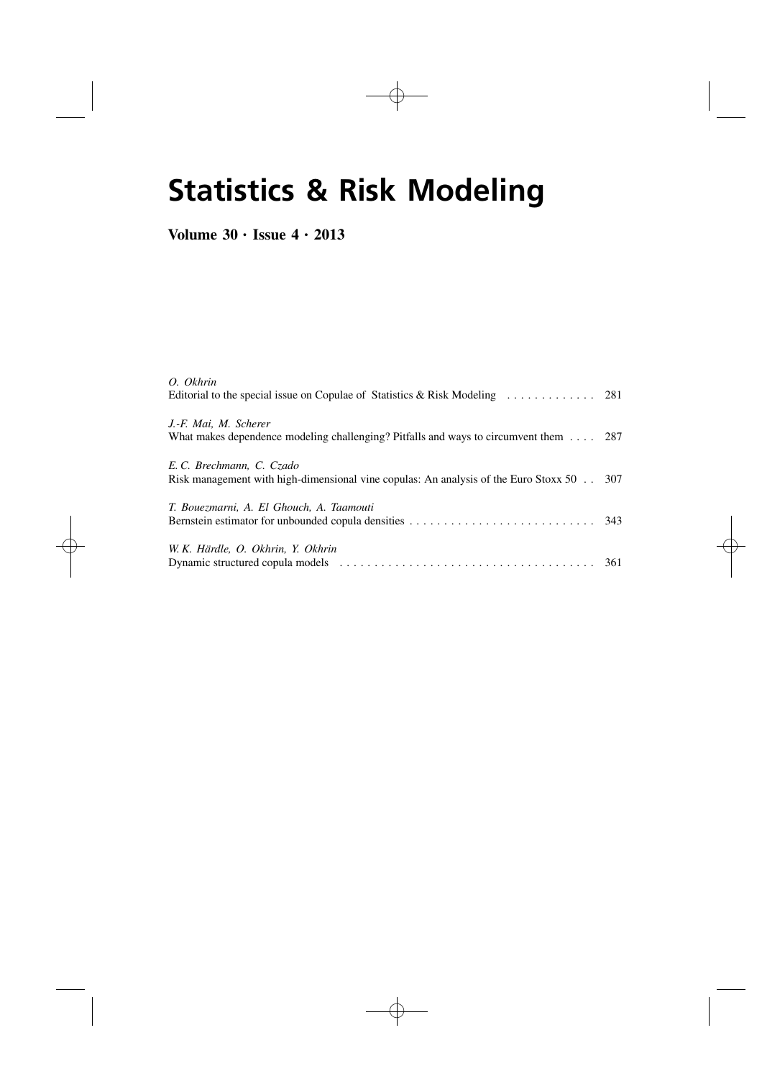# **Statistics & Risk Modeling**

## **Volume 30** • **Issue 4** • **2013**

| O. Okhrin                                                                                     |  |
|-----------------------------------------------------------------------------------------------|--|
|                                                                                               |  |
| J.-F. Mai, M. Scherer                                                                         |  |
| What makes dependence modeling challenging? Pitfalls and ways to circumvent them $\ldots$ 287 |  |
| E.C. Brechmann, C. Czado                                                                      |  |
| Risk management with high-dimensional vine copulas: An analysis of the Euro Stoxx $50$ 307    |  |
| T. Bouezmarni, A. El Ghouch, A. Taamouti                                                      |  |
|                                                                                               |  |
| W. K. Härdle, O. Okhrin, Y. Okhrin                                                            |  |
|                                                                                               |  |
|                                                                                               |  |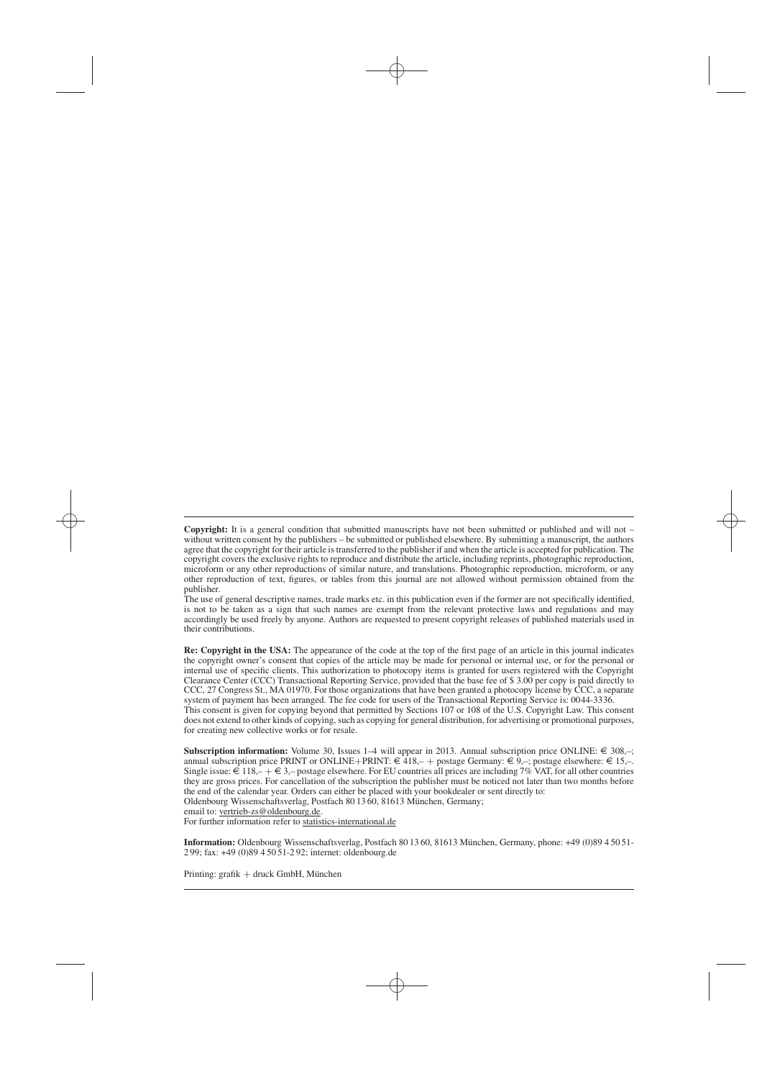publisher. The use of general descriptive names, trade marks etc. in this publication even if the former are not specifically identified, is not to be taken as a sign that such names are exempt from the relevant protective laws and regulations and may accordingly be used freely by anyone. Authors are requested to present copyright releases of published materials used in their contributions.

**Re: Copyright in the USA:** The appearance of the code at the top of the first page of an article in this journal indicates the copyright owner's consent that copies of the article may be made for personal or internal use, or for the personal or internal use of specific clients. This authorization to photocopy items is granted for users registered with the Copyright Clearance Center (CCC) Transactional Reporting Service, provided that the base fee of \$ 3.00 per copy is paid directly to CCC, 27 Congress St., MA 01970. For those organizations that have been granted a photocopy license by CCC, a separate system of payment has been arranged. The fee code for users of the Transactional Reporting Service is: 0044-3336. This consent is given for copying beyond that permitted by Sections 107 or 108 of the U.S. Copyright Law. This consent

does not extend to other kinds of copying, such as copying for general distribution, for advertising or promotional purposes, for creating new collective works or for resale.

**Subscription information:** Volume 30, Issues 1–4 will appear in 2013. Annual subscription price ONLINE:  $\epsilon \approx 308$ ,-; annual subscription price PRINT or ONLINE+PRINT: €418,- + postage Germany: €9,-; postage elsewhere: €15,-.<br>Single issue: €118,- + €3,- postage elsewhere. For EU countries all prices are including 7% VAT, for all other cou they are gross prices. For cancellation of the subscription the publisher must be noticed not later than two months before the end of the calendar year. Orders can either be placed with your bookdealer or sent directly to: Oldenbourg Wissenschaftsverlag, Postfach 80 13 60, 81613 München, Germany; email to: vertrieb-zs@oldenbourg.de.

For further information refer to statistics-international.de

**Information:** Oldenbourg Wissenschaftsverlag, Postfach 80 13 60, 81613 München, Germany, phone: +49 (0)89 4 50 51- 2 99; fax: +49 (0)89 4 50 51-2 92; internet: oldenbourg.de

Printing: grafik + druck GmbH, München

-**Copyright:** It is a general condition that submitted manuscripts have not been submitted or published and will not – without written consent by the publishers – be submitted or published elsewhere. By submitting a manuscript, the authors agree that the copyright for their article is transferred to the publisher if and when the article is accepted for publication. The copyright covers the exclusive rights to reproduce and distribute the article, including reprints, photographic reproduction, microform or any other reproductions of similar nature, and translations. Photographic reproduction, microform, or any other reproduction of text, figures, or tables from this journal are not allowed without permission obtained from the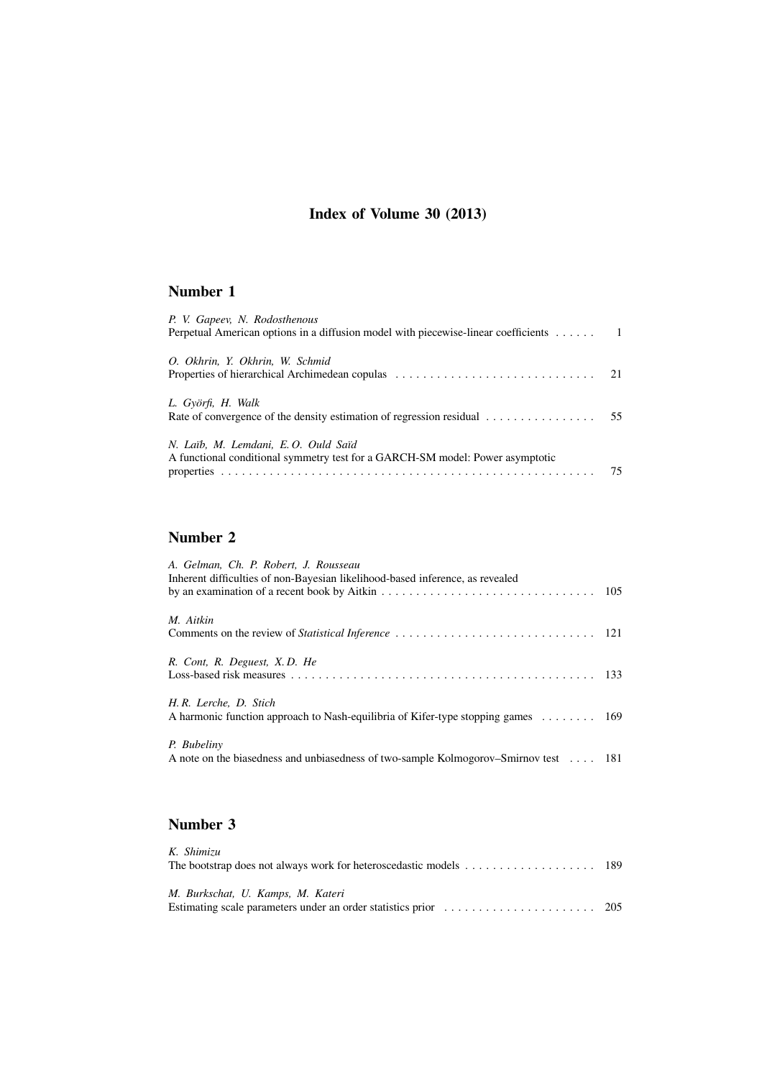## **Index of Volume 30 (2013)**

## **Number 1**

| P. V. Gapeev, N. Rodosthenous<br>Perpetual American options in a diffusion model with piecewise-linear coefficients 1                                                                                                                                             |    |
|-------------------------------------------------------------------------------------------------------------------------------------------------------------------------------------------------------------------------------------------------------------------|----|
| O. Okhrin, Y. Okhrin, W. Schmid<br>Properties of hierarchical Archimedean copular expansion contained a set of the set of the properties of hierarchical Archimedean copular expansion of the set of the set of the set of the set of the set of the set of the s |    |
| L. Györfi, H. Walk<br>Rate of convergence of the density estimation of regression residual $\dots \dots \dots \dots \dots$ 55                                                                                                                                     |    |
| N. Laib, M. Lemdani, E.O. Ould Saïd<br>A functional conditional symmetry test for a GARCH-SM model: Power asymptotic                                                                                                                                              | 75 |

## **Number 2**

| A. Gelman, Ch. P. Robert, J. Rousseau<br>Inherent difficulties of non-Bayesian likelihood-based inference, as revealed        |  |
|-------------------------------------------------------------------------------------------------------------------------------|--|
|                                                                                                                               |  |
| M. Aitkin                                                                                                                     |  |
|                                                                                                                               |  |
| R. Cont. R. Deguest, X.D. He                                                                                                  |  |
|                                                                                                                               |  |
| H.R. Lerche, D. Stich<br>A harmonic function approach to Nash-equilibria of Kifer-type stopping games $\dots \dots \dots$ 169 |  |
| P. Bubeliny<br>A note on the biasedness and unbiasedness of two-sample Kolmogorov–Smirnov test 181                            |  |
|                                                                                                                               |  |

## **Number 3**

| K. Shimizu<br>The bootstrap does not always work for heteroscedastic models $\dots \dots \dots \dots \dots \dots \dots$ 189 |  |
|-----------------------------------------------------------------------------------------------------------------------------|--|
| M. Burkschat, U. Kamps, M. Kateri                                                                                           |  |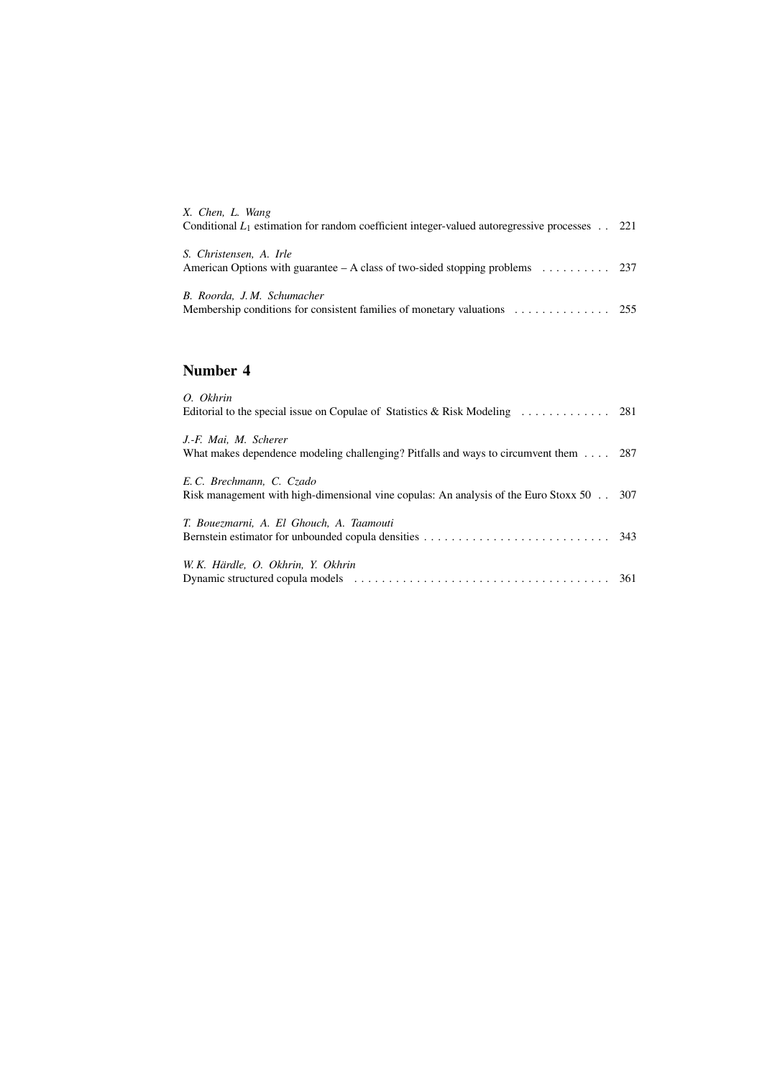| X. Chen, L. Wang<br>Conditional $L_1$ estimation for random coefficient integer-valued autoregressive processes . 221            |  |
|----------------------------------------------------------------------------------------------------------------------------------|--|
| S. Christensen, A. Irle<br>American Options with guarantee – A class of two-sided stopping problems $\dots \dots \dots$ 237      |  |
| B. Roorda, J.M. Schumacher<br>Membership conditions for consistent families of monetary valuations $\dots \dots \dots \dots$ 255 |  |

## **Number 4**

| O. Okhrin                                                                                                              |  |
|------------------------------------------------------------------------------------------------------------------------|--|
| J.-F. Mai, M. Scherer<br>What makes dependence modeling challenging? Pitfalls and ways to circumvent them $\ldots$ 287 |  |
| E.C. Brechmann, C. Czado<br>Risk management with high-dimensional vine copulas: An analysis of the Euro Stoxx 50 307   |  |
| T. Bouezmarni, A. El Ghouch, A. Taamouti                                                                               |  |
| W.K. Härdle, O. Okhrin, Y. Okhrin                                                                                      |  |